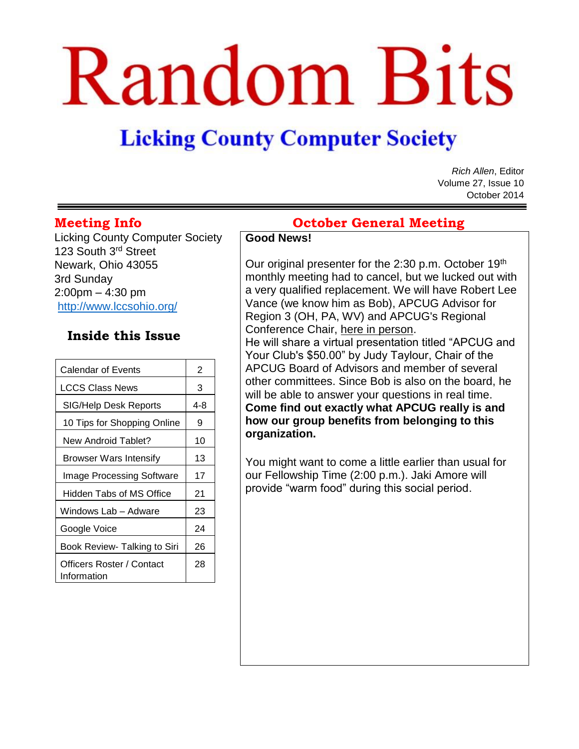# Random Bits

# **Licking County Computer Society**

*Rich Allen*, Editor Volume 27, Issue 10 October 2014

Licking County Computer Society 123 South 3<sup>rd</sup> Street Newark, Ohio 43055 3rd Sunday 2:00pm – 4:30 pm <http://www.lccsohio.org/>

## **Inside this Issue**

| <b>Calendar of Events</b>                | 2   |  |
|------------------------------------------|-----|--|
| LCCS Class News                          | 3   |  |
| SIG/Help Desk Reports                    | 4-8 |  |
| 10 Tips for Shopping Online              | 9   |  |
| New Android Tablet?                      | 10  |  |
| Browser Wars Intensify                   | 13  |  |
| <b>Image Processing Software</b>         | 17  |  |
| Hidden Tabs of MS Office                 | 21  |  |
| Windows Lab – Adware                     | 23  |  |
| Google Voice                             | 24  |  |
| Book Review- Talking to Siri             | 26  |  |
| Officers Roster / Contact<br>Information | 28  |  |

# **Meeting Info October General Meeting**

#### **Good News!**

Our original presenter for the 2:30 p.m. October 19<sup>th</sup> monthly meeting had to cancel, but we lucked out with a very qualified replacement. We will have Robert Lee Vance (we know him as Bob), APCUG Advisor for Region 3 (OH, PA, WV) and APCUG's Regional Conference Chair, here in person.

He will share a virtual presentation titled "APCUG and Your Club's \$50.00" by Judy Taylour, Chair of the APCUG Board of Advisors and member of several other committees. Since Bob is also on the board, he will be able to answer your questions in real time. **Come find out exactly what APCUG really is and how our group benefits from belonging to this organization.**

You might want to come a little earlier than usual for our Fellowship Time (2:00 p.m.). Jaki Amore will provide "warm food" during this social period.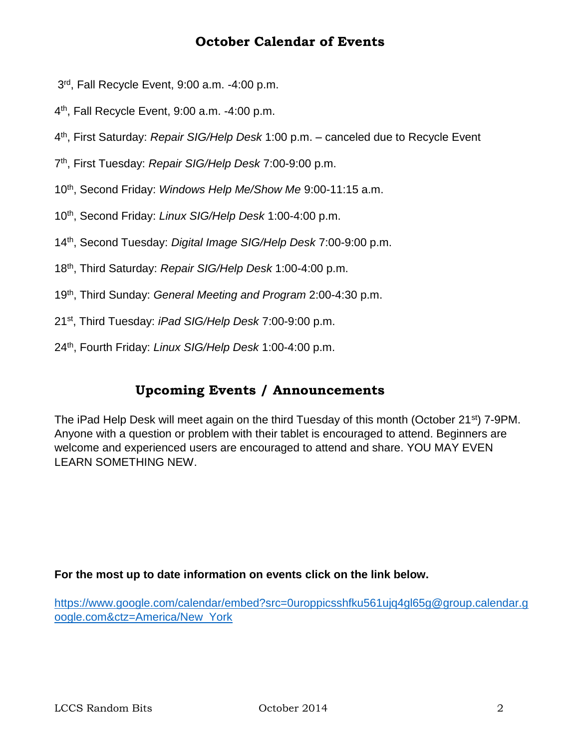# **October Calendar of Events**

- 3 rd, Fall Recycle Event, 9:00 a.m. -4:00 p.m.
- 4 th, Fall Recycle Event, 9:00 a.m. -4:00 p.m.
- 4 th, First Saturday: *Repair SIG/Help Desk* 1:00 p.m. canceled due to Recycle Event
- 7 th, First Tuesday: *Repair SIG/Help Desk* 7:00-9:00 p.m.
- 10th, Second Friday: *Windows Help Me/Show Me* 9:00-11:15 a.m.
- 10th, Second Friday: *Linux SIG/Help Desk* 1:00-4:00 p.m.
- 14th, Second Tuesday: *Digital Image SIG/Help Desk* 7:00-9:00 p.m.
- 18th, Third Saturday: *Repair SIG/Help Desk* 1:00-4:00 p.m.
- 19th, Third Sunday: *General Meeting and Program* 2:00-4:30 p.m.
- 21st, Third Tuesday: *iPad SIG/Help Desk* 7:00-9:00 p.m.
- 24th, Fourth Friday: *Linux SIG/Help Desk* 1:00-4:00 p.m.

#### **Upcoming Events / Announcements**

The iPad Help Desk will meet again on the third Tuesday of this month (October 21<sup>st</sup>) 7-9PM. Anyone with a question or problem with their tablet is encouraged to attend. Beginners are welcome and experienced users are encouraged to attend and share. YOU MAY EVEN LEARN SOMETHING NEW.

#### **For the most up to date information on events click on the link below.**

[https://www.google.com/calendar/embed?src=0uroppicsshfku561ujq4gl65g@group.calendar.g](https://www.google.com/calendar/embed?src=0uroppicsshfku561ujq4gl65g@group.calendar.google.com&ctz=America/New_York) [oogle.com&ctz=America/New\\_York](https://www.google.com/calendar/embed?src=0uroppicsshfku561ujq4gl65g@group.calendar.google.com&ctz=America/New_York)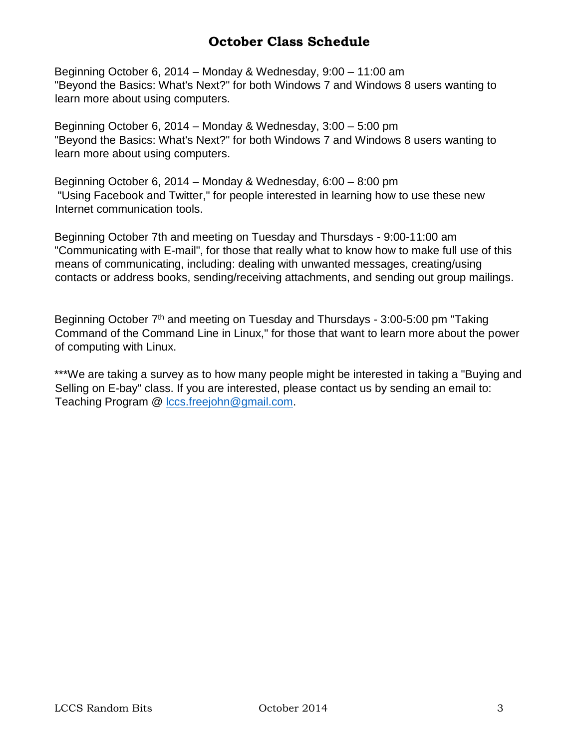# **October Class Schedule**

Beginning October 6, 2014 – Monday & Wednesday, 9:00 – 11:00 am "Beyond the Basics: What's Next?" for both Windows 7 and Windows 8 users wanting to learn more about using computers.

Beginning October 6, 2014 – Monday & Wednesday, 3:00 – 5:00 pm "Beyond the Basics: What's Next?" for both Windows 7 and Windows 8 users wanting to learn more about using computers.

Beginning October 6, 2014 – Monday & Wednesday, 6:00 – 8:00 pm "Using Facebook and Twitter," for people interested in learning how to use these new Internet communication tools.

Beginning October 7th and meeting on Tuesday and Thursdays - 9:00-11:00 am "Communicating with E-mail", for those that really what to know how to make full use of this means of communicating, including: dealing with unwanted messages, creating/using contacts or address books, sending/receiving attachments, and sending out group mailings.

Beginning October 7<sup>th</sup> and meeting on Tuesday and Thursdays - 3:00-5:00 pm "Taking" Command of the Command Line in Linux," for those that want to learn more about the power of computing with Linux.

\*\*\*We are taking a survey as to how many people might be interested in taking a "Buying and Selling on E-bay" class. If you are interested, please contact us by sending an email to: Teaching Program @ [lccs.freejohn@gmail.com.](mailto:lccs.freejohn@gmail.com)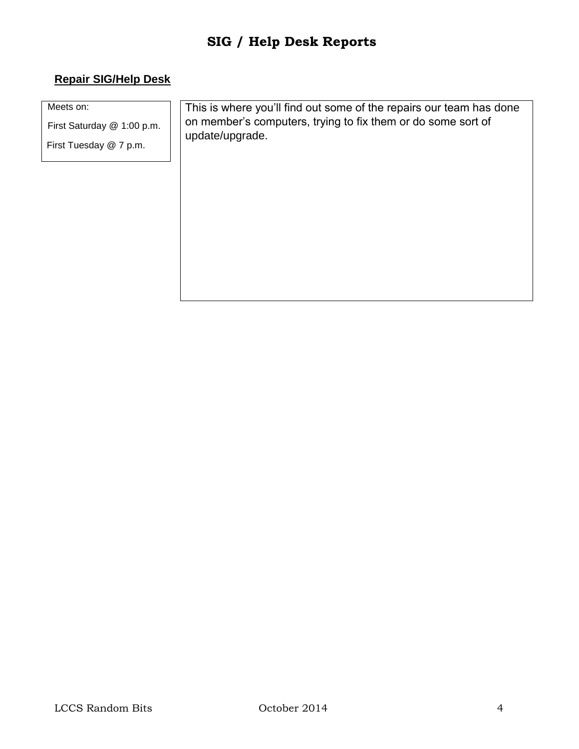#### **Repair SIG/Help Desk**

Meets on:

First Saturday @ 1:00 p.m.

First Tuesday @ 7 p.m.

This is where you'll find out some of the repairs our team has done on member's computers, trying to fix them or do some sort of update/upgrade.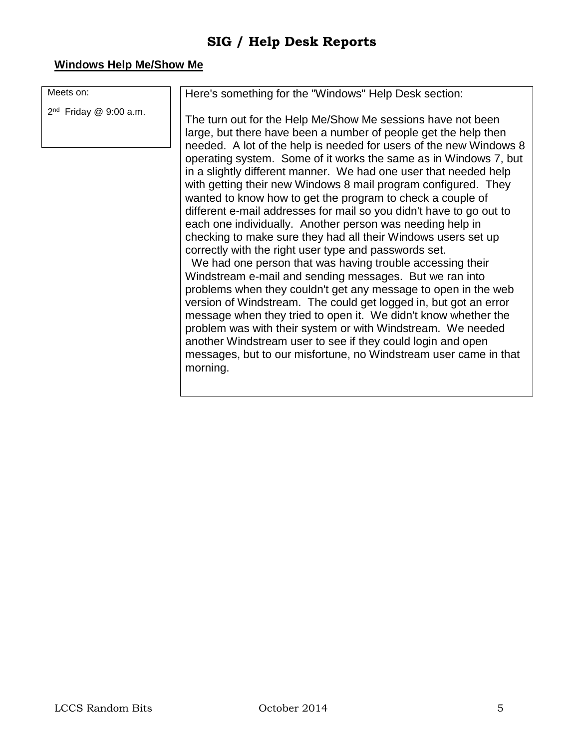#### **Windows Help Me/Show Me**

Meets on:

2<sup>nd</sup> Friday @ 9:00 a.m.

Here's something for the "Windows" Help Desk section:

The turn out for the Help Me/Show Me sessions have not been large, but there have been a number of people get the help then needed. A lot of the help is needed for users of the new Windows 8 operating system. Some of it works the same as in Windows 7, but in a slightly different manner. We had one user that needed help with getting their new Windows 8 mail program configured. They wanted to know how to get the program to check a couple of different e-mail addresses for mail so you didn't have to go out to each one individually. Another person was needing help in checking to make sure they had all their Windows users set up correctly with the right user type and passwords set.

We had one person that was having trouble accessing their Windstream e-mail and sending messages. But we ran into problems when they couldn't get any message to open in the web version of Windstream. The could get logged in, but got an error message when they tried to open it. We didn't know whether the problem was with their system or with Windstream. We needed another Windstream user to see if they could login and open messages, but to our misfortune, no Windstream user came in that morning.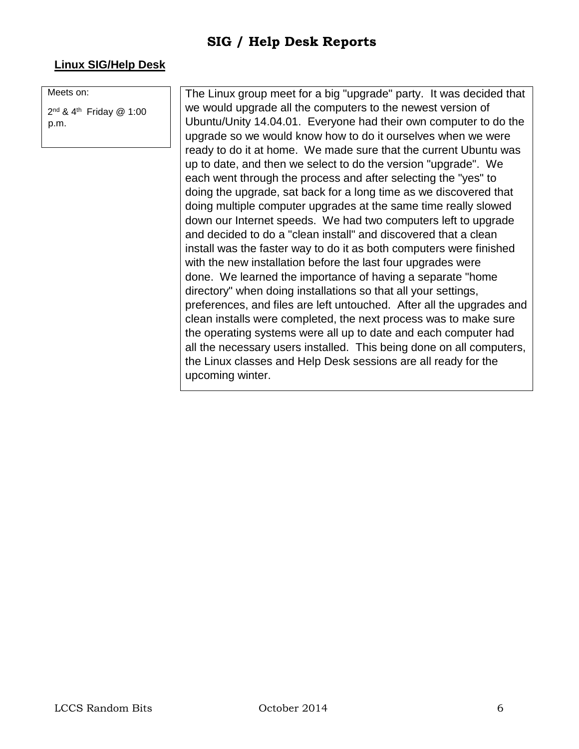#### **Linux SIG/Help Desk**

Meets on:

2<sup>nd</sup> & 4<sup>th</sup> Friday @ 1:00 p.m.

The Linux group meet for a big "upgrade" party. It was decided that we would upgrade all the computers to the newest version of Ubuntu/Unity 14.04.01. Everyone had their own computer to do the upgrade so we would know how to do it ourselves when we were ready to do it at home. We made sure that the current Ubuntu was up to date, and then we select to do the version "upgrade". We each went through the process and after selecting the "yes" to doing the upgrade, sat back for a long time as we discovered that doing multiple computer upgrades at the same time really slowed down our Internet speeds. We had two computers left to upgrade and decided to do a "clean install" and discovered that a clean install was the faster way to do it as both computers were finished with the new installation before the last four upgrades were done. We learned the importance of having a separate "home directory" when doing installations so that all your settings, preferences, and files are left untouched. After all the upgrades and clean installs were completed, the next process was to make sure the operating systems were all up to date and each computer had all the necessary users installed. This being done on all computers, the Linux classes and Help Desk sessions are all ready for the upcoming winter.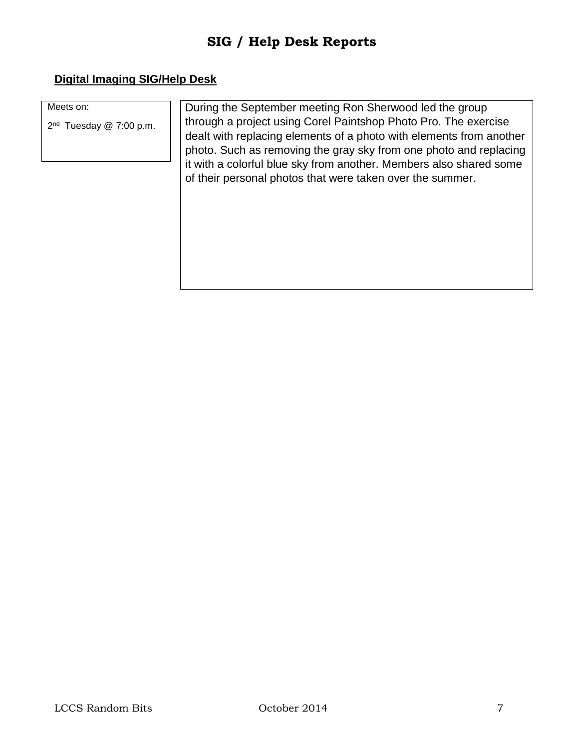#### **Digital Imaging SIG/Help Desk**

| Meets on: |  |
|-----------|--|
|-----------|--|

2<sup>nd</sup> Tuesday @ 7:00 p.m.

During the September meeting Ron Sherwood led the group through a project using Corel Paintshop Photo Pro. The exercise dealt with replacing elements of a photo with elements from another photo. Such as removing the gray sky from one photo and replacing it with a colorful blue sky from another. Members also shared some of their personal photos that were taken over the summer.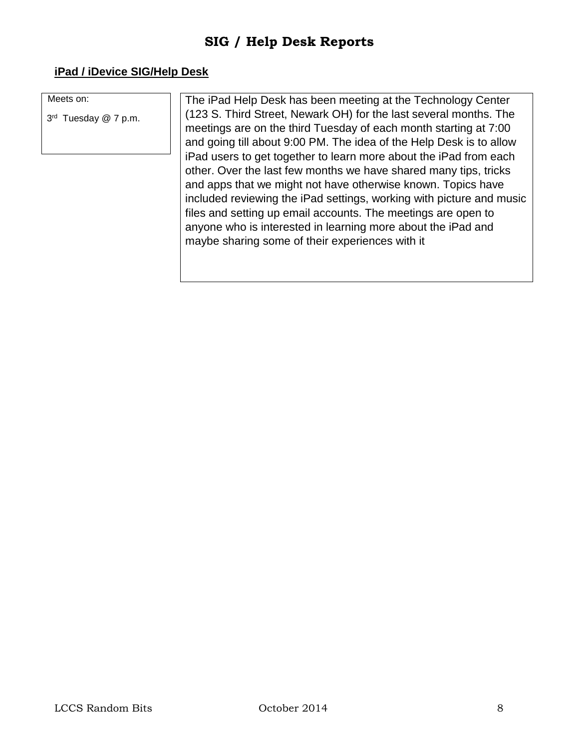#### **iPad / iDevice SIG/Help Desk**

Meets on:

3<sup>rd</sup> Tuesday @ 7 p.m.

The iPad Help Desk has been meeting at the Technology Center (123 S. Third Street, Newark OH) for the last several months. The meetings are on the third Tuesday of each month starting at 7:00 and going till about 9:00 PM. The idea of the Help Desk is to allow iPad users to get together to learn more about the iPad from each other. Over the last few months we have shared many tips, tricks and apps that we might not have otherwise known. Topics have included reviewing the iPad settings, working with picture and music files and setting up email accounts. The meetings are open to anyone who is interested in learning more about the iPad and maybe sharing some of their experiences with it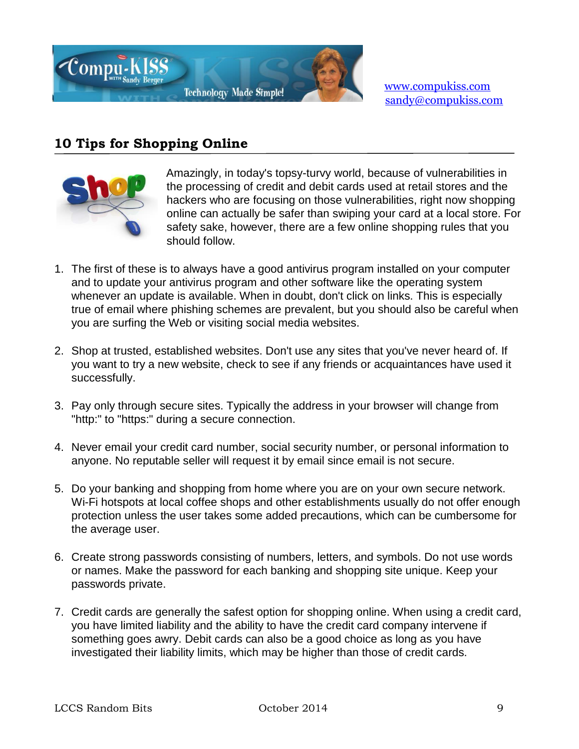

[www.compukiss.com](http://www.compukiss.com/)  sandy@compukiss.com

# **10 Tips for Shopping Online**



Amazingly, in today's topsy-turvy world, because of vulnerabilities in the processing of credit and debit cards used at retail stores and the hackers who are focusing on those vulnerabilities, right now shopping online can actually be safer than swiping your card at a local store. For safety sake, however, there are a few online shopping rules that you should follow.

- 1. The first of these is to always have a good antivirus program installed on your computer and to update your antivirus program and other software like the operating system whenever an update is available. When in doubt, don't click on links. This is especially true of email where phishing schemes are prevalent, but you should also be careful when you are surfing the Web or visiting social media websites.
- 2. Shop at trusted, established websites. Don't use any sites that you've never heard of. If you want to try a new website, check to see if any friends or acquaintances have used it successfully.
- 3. Pay only through secure sites. Typically the address in your browser will change from "http:" to "https:" during a secure connection.
- 4. Never email your credit card number, social security number, or personal information to anyone. No reputable seller will request it by email since email is not secure.
- 5. Do your banking and shopping from home where you are on your own secure network. Wi-Fi hotspots at local coffee shops and other establishments usually do not offer enough protection unless the user takes some added precautions, which can be cumbersome for the average user.
- 6. Create strong passwords consisting of numbers, letters, and symbols. Do not use words or names. Make the password for each banking and shopping site unique. Keep your passwords private.
- 7. Credit cards are generally the safest option for shopping online. When using a credit card, you have limited liability and the ability to have the credit card company intervene if something goes awry. Debit cards can also be a good choice as long as you have investigated their liability limits, which may be higher than those of credit cards.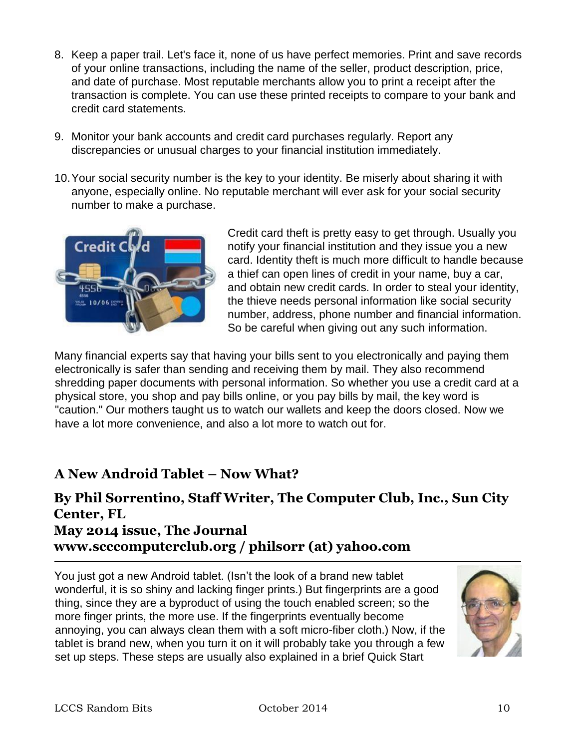- 8. Keep a paper trail. Let's face it, none of us have perfect memories. Print and save records of your online transactions, including the name of the seller, product description, price, and date of purchase. Most reputable merchants allow you to print a receipt after the transaction is complete. You can use these printed receipts to compare to your bank and credit card statements.
- 9. Monitor your bank accounts and credit card purchases regularly. Report any discrepancies or unusual charges to your financial institution immediately.
- 10.Your social security number is the key to your identity. Be miserly about sharing it with anyone, especially online. No reputable merchant will ever ask for your social security number to make a purchase.



Credit card theft is pretty easy to get through. Usually you notify your financial institution and they issue you a new card. Identity theft is much more difficult to handle because a thief can open lines of credit in your name, buy a car, and obtain new credit cards. In order to steal your identity, the thieve needs personal information like social security number, address, phone number and financial information. So be careful when giving out any such information.

Many financial experts say that having your bills sent to you electronically and paying them electronically is safer than sending and receiving them by mail. They also recommend shredding paper documents with personal information. So whether you use a credit card at a physical store, you shop and pay bills online, or you pay bills by mail, the key word is "caution." Our mothers taught us to watch our wallets and keep the doors closed. Now we have a lot more convenience, and also a lot more to watch out for.

# **A New Android Tablet – Now What?**

# **By Phil Sorrentino, Staff Writer, The Computer Club, Inc., Sun City Center, FL May 2014 issue, The Journal www.scccomputerclub.org / philsorr (at) yahoo.com**

You just got a new Android tablet. (Isn't the look of a brand new tablet wonderful, it is so shiny and lacking finger prints.) But fingerprints are a good thing, since they are a byproduct of using the touch enabled screen; so the more finger prints, the more use. If the fingerprints eventually become annoying, you can always clean them with a soft micro-fiber cloth.) Now, if the tablet is brand new, when you turn it on it will probably take you through a few set up steps. These steps are usually also explained in a brief Quick Start

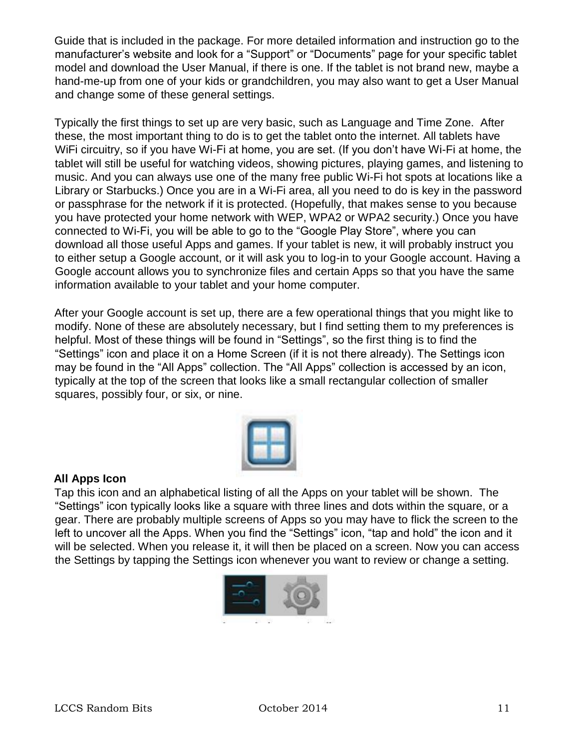Guide that is included in the package. For more detailed information and instruction go to the manufacturer's website and look for a "Support" or "Documents" page for your specific tablet model and download the User Manual, if there is one. If the tablet is not brand new, maybe a hand-me-up from one of your kids or grandchildren, you may also want to get a User Manual and change some of these general settings.

Typically the first things to set up are very basic, such as Language and Time Zone. After these, the most important thing to do is to get the tablet onto the internet. All tablets have WiFi circuitry, so if you have Wi-Fi at home, you are set. (If you don't have Wi-Fi at home, the tablet will still be useful for watching videos, showing pictures, playing games, and listening to music. And you can always use one of the many free public Wi-Fi hot spots at locations like a Library or Starbucks.) Once you are in a Wi-Fi area, all you need to do is key in the password or passphrase for the network if it is protected. (Hopefully, that makes sense to you because you have protected your home network with WEP, WPA2 or WPA2 security.) Once you have connected to Wi-Fi, you will be able to go to the "Google Play Store", where you can download all those useful Apps and games. If your tablet is new, it will probably instruct you to either setup a Google account, or it will ask you to log-in to your Google account. Having a Google account allows you to synchronize files and certain Apps so that you have the same information available to your tablet and your home computer.

After your Google account is set up, there are a few operational things that you might like to modify. None of these are absolutely necessary, but I find setting them to my preferences is helpful. Most of these things will be found in "Settings", so the first thing is to find the "Settings" icon and place it on a Home Screen (if it is not there already). The Settings icon may be found in the "All Apps" collection. The "All Apps" collection is accessed by an icon, typically at the top of the screen that looks like a small rectangular collection of smaller squares, possibly four, or six, or nine.



#### **All Apps Icon**

Tap this icon and an alphabetical listing of all the Apps on your tablet will be shown. The "Settings" icon typically looks like a square with three lines and dots within the square, or a gear. There are probably multiple screens of Apps so you may have to flick the screen to the left to uncover all the Apps. When you find the "Settings" icon, "tap and hold" the icon and it will be selected. When you release it, it will then be placed on a screen. Now you can access the Settings by tapping the Settings icon whenever you want to review or change a setting.

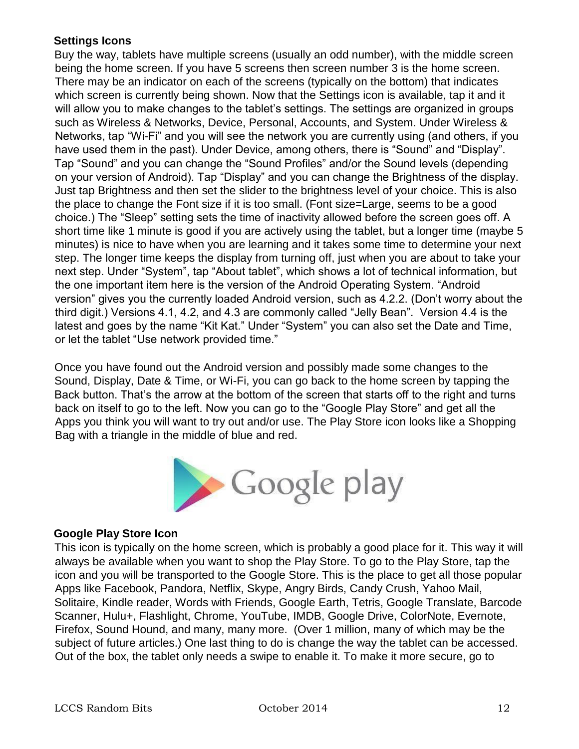#### **Settings Icons**

Buy the way, tablets have multiple screens (usually an odd number), with the middle screen being the home screen. If you have 5 screens then screen number 3 is the home screen. There may be an indicator on each of the screens (typically on the bottom) that indicates which screen is currently being shown. Now that the Settings icon is available, tap it and it will allow you to make changes to the tablet's settings. The settings are organized in groups such as Wireless & Networks, Device, Personal, Accounts, and System. Under Wireless & Networks, tap "Wi-Fi" and you will see the network you are currently using (and others, if you have used them in the past). Under Device, among others, there is "Sound" and "Display". Tap "Sound" and you can change the "Sound Profiles" and/or the Sound levels (depending on your version of Android). Tap "Display" and you can change the Brightness of the display. Just tap Brightness and then set the slider to the brightness level of your choice. This is also the place to change the Font size if it is too small. (Font size=Large, seems to be a good choice.) The "Sleep" setting sets the time of inactivity allowed before the screen goes off. A short time like 1 minute is good if you are actively using the tablet, but a longer time (maybe 5 minutes) is nice to have when you are learning and it takes some time to determine your next step. The longer time keeps the display from turning off, just when you are about to take your next step. Under "System", tap "About tablet", which shows a lot of technical information, but the one important item here is the version of the Android Operating System. "Android version" gives you the currently loaded Android version, such as 4.2.2. (Don't worry about the third digit.) Versions 4.1, 4.2, and 4.3 are commonly called "Jelly Bean". Version 4.4 is the latest and goes by the name "Kit Kat." Under "System" you can also set the Date and Time, or let the tablet "Use network provided time."

Once you have found out the Android version and possibly made some changes to the Sound, Display, Date & Time, or Wi-Fi, you can go back to the home screen by tapping the Back button. That's the arrow at the bottom of the screen that starts off to the right and turns back on itself to go to the left. Now you can go to the "Google Play Store" and get all the Apps you think you will want to try out and/or use. The Play Store icon looks like a Shopping Bag with a triangle in the middle of blue and red.



#### **Google Play Store Icon**

This icon is typically on the home screen, which is probably a good place for it. This way it will always be available when you want to shop the Play Store. To go to the Play Store, tap the icon and you will be transported to the Google Store. This is the place to get all those popular Apps like Facebook, Pandora, Netflix, Skype, Angry Birds, Candy Crush, Yahoo Mail, Solitaire, Kindle reader, Words with Friends, Google Earth, Tetris, Google Translate, Barcode Scanner, Hulu+, Flashlight, Chrome, YouTube, IMDB, Google Drive, ColorNote, Evernote, Firefox, Sound Hound, and many, many more. (Over 1 million, many of which may be the subject of future articles.) One last thing to do is change the way the tablet can be accessed. Out of the box, the tablet only needs a swipe to enable it. To make it more secure, go to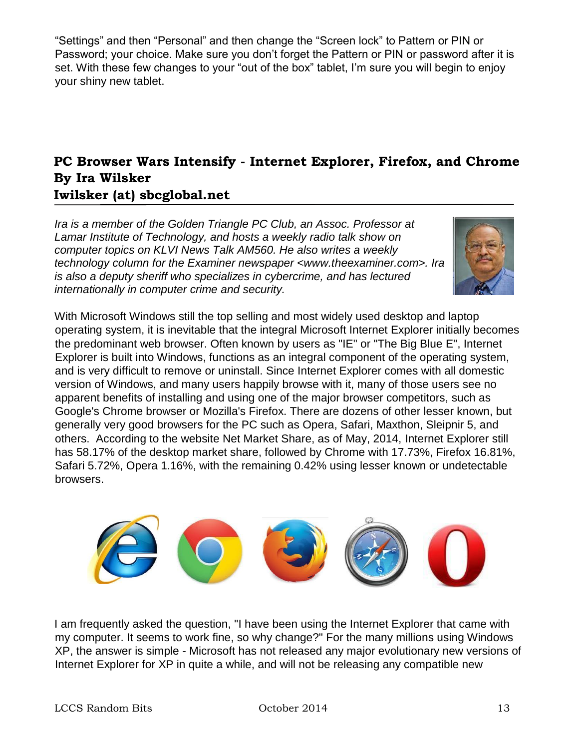"Settings" and then "Personal" and then change the "Screen lock" to Pattern or PIN or Password; your choice. Make sure you don't forget the Pattern or PIN or password after it is set. With these few changes to your "out of the box" tablet, I'm sure you will begin to enjoy your shiny new tablet.

# **PC Browser Wars Intensify - Internet Explorer, Firefox, and Chrome By Ira Wilsker Iwilsker (at) sbcglobal.net**

*Ira is a member of the Golden Triangle PC Club, an Assoc. Professor at Lamar Institute of Technology, and hosts a weekly radio talk show on computer topics on KLVI News Talk AM560. He also writes a weekly technology column for the Examiner newspaper <www.theexaminer.com>. Ira is also a deputy sheriff who specializes in cybercrime, and has lectured internationally in computer crime and security.* 



With Microsoft Windows still the top selling and most widely used desktop and laptop operating system, it is inevitable that the integral Microsoft Internet Explorer initially becomes the predominant web browser. Often known by users as "IE" or "The Big Blue E", Internet Explorer is built into Windows, functions as an integral component of the operating system, and is very difficult to remove or uninstall. Since Internet Explorer comes with all domestic version of Windows, and many users happily browse with it, many of those users see no apparent benefits of installing and using one of the major browser competitors, such as Google's Chrome browser or Mozilla's Firefox. There are dozens of other lesser known, but generally very good browsers for the PC such as Opera, Safari, Maxthon, Sleipnir 5, and others. According to the website Net Market Share, as of May, 2014, Internet Explorer still has 58.17% of the desktop market share, followed by Chrome with 17.73%, Firefox 16.81%, Safari 5.72%, Opera 1.16%, with the remaining 0.42% using lesser known or undetectable browsers.



I am frequently asked the question, "I have been using the Internet Explorer that came with my computer. It seems to work fine, so why change?" For the many millions using Windows XP, the answer is simple - Microsoft has not released any major evolutionary new versions of Internet Explorer for XP in quite a while, and will not be releasing any compatible new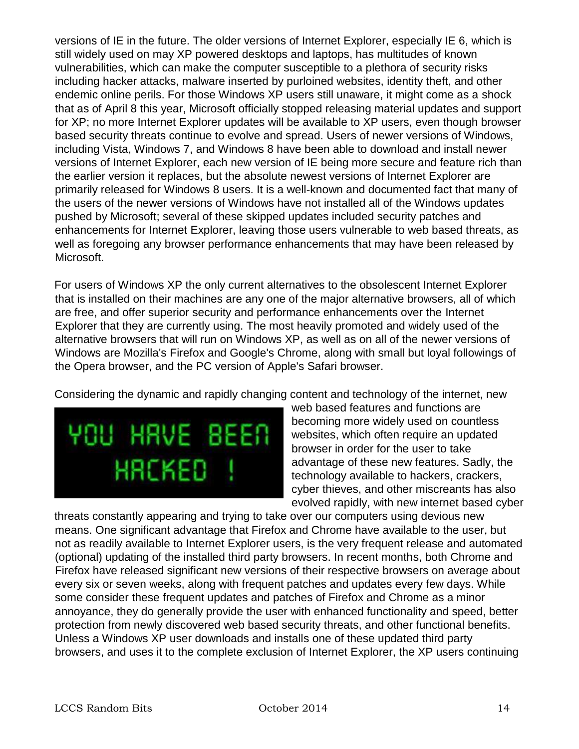versions of IE in the future. The older versions of Internet Explorer, especially IE 6, which is still widely used on may XP powered desktops and laptops, has multitudes of known vulnerabilities, which can make the computer susceptible to a plethora of security risks including hacker attacks, malware inserted by purloined websites, identity theft, and other endemic online perils. For those Windows XP users still unaware, it might come as a shock that as of April 8 this year, Microsoft officially stopped releasing material updates and support for XP; no more Internet Explorer updates will be available to XP users, even though browser based security threats continue to evolve and spread. Users of newer versions of Windows, including Vista, Windows 7, and Windows 8 have been able to download and install newer versions of Internet Explorer, each new version of IE being more secure and feature rich than the earlier version it replaces, but the absolute newest versions of Internet Explorer are primarily released for Windows 8 users. It is a well-known and documented fact that many of the users of the newer versions of Windows have not installed all of the Windows updates pushed by Microsoft; several of these skipped updates included security patches and enhancements for Internet Explorer, leaving those users vulnerable to web based threats, as well as foregoing any browser performance enhancements that may have been released by Microsoft.

For users of Windows XP the only current alternatives to the obsolescent Internet Explorer that is installed on their machines are any one of the major alternative browsers, all of which are free, and offer superior security and performance enhancements over the Internet Explorer that they are currently using. The most heavily promoted and widely used of the alternative browsers that will run on Windows XP, as well as on all of the newer versions of Windows are Mozilla's Firefox and Google's Chrome, along with small but loyal followings of the Opera browser, and the PC version of Apple's Safari browser.

Considering the dynamic and rapidly changing content and technology of the internet, new



web based features and functions are becoming more widely used on countless websites, which often require an updated browser in order for the user to take advantage of these new features. Sadly, the technology available to hackers, crackers, cyber thieves, and other miscreants has also evolved rapidly, with new internet based cyber

threats constantly appearing and trying to take over our computers using devious new means. One significant advantage that Firefox and Chrome have available to the user, but not as readily available to Internet Explorer users, is the very frequent release and automated (optional) updating of the installed third party browsers. In recent months, both Chrome and Firefox have released significant new versions of their respective browsers on average about every six or seven weeks, along with frequent patches and updates every few days. While some consider these frequent updates and patches of Firefox and Chrome as a minor annoyance, they do generally provide the user with enhanced functionality and speed, better protection from newly discovered web based security threats, and other functional benefits. Unless a Windows XP user downloads and installs one of these updated third party browsers, and uses it to the complete exclusion of Internet Explorer, the XP users continuing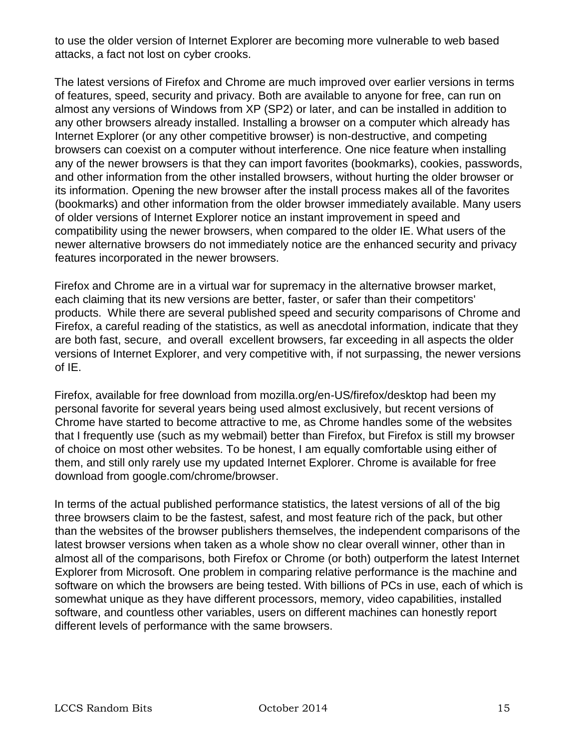to use the older version of Internet Explorer are becoming more vulnerable to web based attacks, a fact not lost on cyber crooks.

The latest versions of Firefox and Chrome are much improved over earlier versions in terms of features, speed, security and privacy. Both are available to anyone for free, can run on almost any versions of Windows from XP (SP2) or later, and can be installed in addition to any other browsers already installed. Installing a browser on a computer which already has Internet Explorer (or any other competitive browser) is non-destructive, and competing browsers can coexist on a computer without interference. One nice feature when installing any of the newer browsers is that they can import favorites (bookmarks), cookies, passwords, and other information from the other installed browsers, without hurting the older browser or its information. Opening the new browser after the install process makes all of the favorites (bookmarks) and other information from the older browser immediately available. Many users of older versions of Internet Explorer notice an instant improvement in speed and compatibility using the newer browsers, when compared to the older IE. What users of the newer alternative browsers do not immediately notice are the enhanced security and privacy features incorporated in the newer browsers.

Firefox and Chrome are in a virtual war for supremacy in the alternative browser market, each claiming that its new versions are better, faster, or safer than their competitors' products. While there are several published speed and security comparisons of Chrome and Firefox, a careful reading of the statistics, as well as anecdotal information, indicate that they are both fast, secure, and overall excellent browsers, far exceeding in all aspects the older versions of Internet Explorer, and very competitive with, if not surpassing, the newer versions of IE.

Firefox, available for free download from mozilla.org/en-US/firefox/desktop had been my personal favorite for several years being used almost exclusively, but recent versions of Chrome have started to become attractive to me, as Chrome handles some of the websites that I frequently use (such as my webmail) better than Firefox, but Firefox is still my browser of choice on most other websites. To be honest, I am equally comfortable using either of them, and still only rarely use my updated Internet Explorer. Chrome is available for free download from google.com/chrome/browser.

In terms of the actual published performance statistics, the latest versions of all of the big three browsers claim to be the fastest, safest, and most feature rich of the pack, but other than the websites of the browser publishers themselves, the independent comparisons of the latest browser versions when taken as a whole show no clear overall winner, other than in almost all of the comparisons, both Firefox or Chrome (or both) outperform the latest Internet Explorer from Microsoft. One problem in comparing relative performance is the machine and software on which the browsers are being tested. With billions of PCs in use, each of which is somewhat unique as they have different processors, memory, video capabilities, installed software, and countless other variables, users on different machines can honestly report different levels of performance with the same browsers.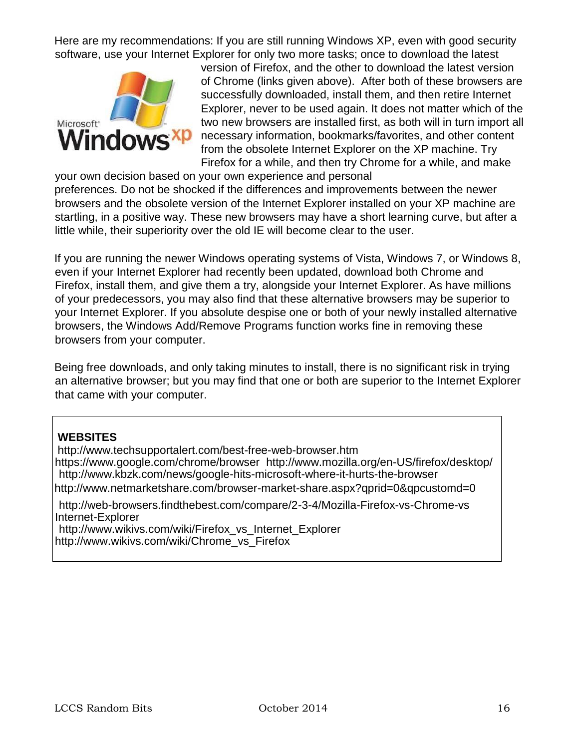Here are my recommendations: If you are still running Windows XP, even with good security software, use your Internet Explorer for only two more tasks; once to download the latest



version of Firefox, and the other to download the latest version of Chrome (links given above). After both of these browsers are successfully downloaded, install them, and then retire Internet Explorer, never to be used again. It does not matter which of the two new browsers are installed first, as both will in turn import all necessary information, bookmarks/favorites, and other content from the obsolete Internet Explorer on the XP machine. Try Firefox for a while, and then try Chrome for a while, and make

your own decision based on your own experience and personal preferences. Do not be shocked if the differences and improvements between the newer browsers and the obsolete version of the Internet Explorer installed on your XP machine are startling, in a positive way. These new browsers may have a short learning curve, but after a little while, their superiority over the old IE will become clear to the user.

If you are running the newer Windows operating systems of Vista, Windows 7, or Windows 8, even if your Internet Explorer had recently been updated, download both Chrome and Firefox, install them, and give them a try, alongside your Internet Explorer. As have millions of your predecessors, you may also find that these alternative browsers may be superior to your Internet Explorer. If you absolute despise one or both of your newly installed alternative browsers, the Windows Add/Remove Programs function works fine in removing these browsers from your computer.

Being free downloads, and only taking minutes to install, there is no significant risk in trying an alternative browser; but you may find that one or both are superior to the Internet Explorer that came with your computer.

#### **WEBSITES**

http://www.techsupportalert.com/best-free-web-browser.htm https://www.google.com/chrome/browser http://www.mozilla.org/en-US/firefox/desktop/ http://www.kbzk.com/news/google-hits-microsoft-where-it-hurts-the-browser http://www.netmarketshare.com/browser-market-share.aspx?qprid=0&qpcustomd=0

http://web-browsers.findthebest.com/compare/2-3-4/Mozilla-Firefox-vs-Chrome-vs Internet-Explorer http://www.wikivs.com/wiki/Firefox\_vs\_Internet\_Explorer

http://www.wikivs.com/wiki/Chrome\_vs\_Firefox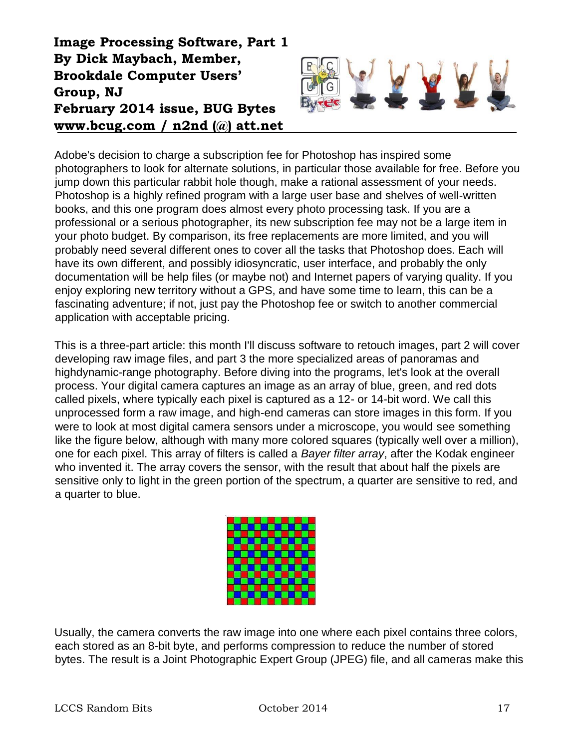# **Image Processing Software, Part 1 By Dick Maybach, Member, Brookdale Computer Users' Group, NJ February 2014 issue, BUG Bytes www.bcug.com / n2nd (@) att.net**



Adobe's decision to charge a subscription fee for Photoshop has inspired some photographers to look for alternate solutions, in particular those available for free. Before you jump down this particular rabbit hole though, make a rational assessment of your needs. Photoshop is a highly refined program with a large user base and shelves of well-written books, and this one program does almost every photo processing task. If you are a professional or a serious photographer, its new subscription fee may not be a large item in your photo budget. By comparison, its free replacements are more limited, and you will probably need several different ones to cover all the tasks that Photoshop does. Each will have its own different, and possibly idiosyncratic, user interface, and probably the only documentation will be help files (or maybe not) and Internet papers of varying quality. If you enjoy exploring new territory without a GPS, and have some time to learn, this can be a fascinating adventure; if not, just pay the Photoshop fee or switch to another commercial application with acceptable pricing.

This is a three-part article: this month I'll discuss software to retouch images, part 2 will cover developing raw image files, and part 3 the more specialized areas of panoramas and highdynamic-range photography. Before diving into the programs, let's look at the overall process. Your digital camera captures an image as an array of blue, green, and red dots called pixels, where typically each pixel is captured as a 12- or 14-bit word. We call this unprocessed form a raw image, and high-end cameras can store images in this form. If you were to look at most digital camera sensors under a microscope, you would see something like the figure below, although with many more colored squares (typically well over a million), one for each pixel. This array of filters is called a *Bayer filter array*, after the Kodak engineer who invented it. The array covers the sensor, with the result that about half the pixels are sensitive only to light in the green portion of the spectrum, a quarter are sensitive to red, and a quarter to blue.



Usually, the camera converts the raw image into one where each pixel contains three colors, each stored as an 8-bit byte, and performs compression to reduce the number of stored bytes. The result is a Joint Photographic Expert Group (JPEG) file, and all cameras make this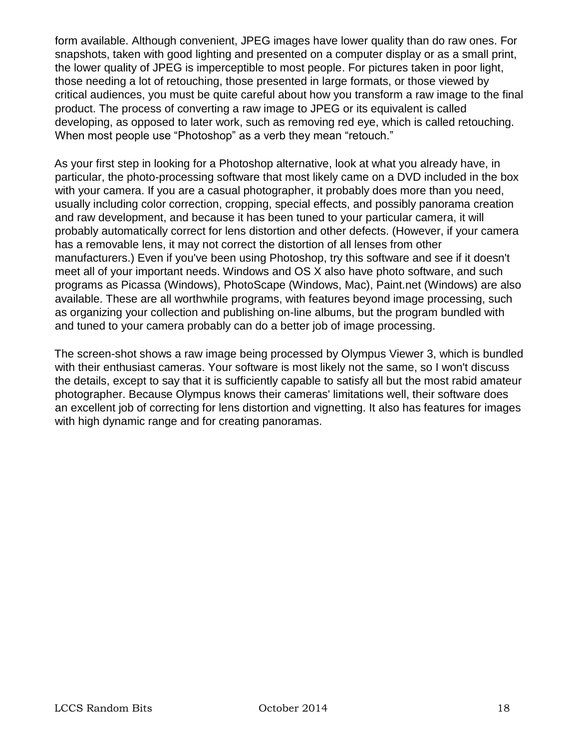form available. Although convenient, JPEG images have lower quality than do raw ones. For snapshots, taken with good lighting and presented on a computer display or as a small print, the lower quality of JPEG is imperceptible to most people. For pictures taken in poor light, those needing a lot of retouching, those presented in large formats, or those viewed by critical audiences, you must be quite careful about how you transform a raw image to the final product. The process of converting a raw image to JPEG or its equivalent is called developing, as opposed to later work, such as removing red eye, which is called retouching. When most people use "Photoshop" as a verb they mean "retouch."

As your first step in looking for a Photoshop alternative, look at what you already have, in particular, the photo-processing software that most likely came on a DVD included in the box with your camera. If you are a casual photographer, it probably does more than you need, usually including color correction, cropping, special effects, and possibly panorama creation and raw development, and because it has been tuned to your particular camera, it will probably automatically correct for lens distortion and other defects. (However, if your camera has a removable lens, it may not correct the distortion of all lenses from other manufacturers.) Even if you've been using Photoshop, try this software and see if it doesn't meet all of your important needs. Windows and OS X also have photo software, and such programs as Picassa (Windows), PhotoScape (Windows, Mac), Paint.net (Windows) are also available. These are all worthwhile programs, with features beyond image processing, such as organizing your collection and publishing on-line albums, but the program bundled with and tuned to your camera probably can do a better job of image processing.

The screen-shot shows a raw image being processed by Olympus Viewer 3, which is bundled with their enthusiast cameras. Your software is most likely not the same, so I won't discuss the details, except to say that it is sufficiently capable to satisfy all but the most rabid amateur photographer. Because Olympus knows their cameras' limitations well, their software does an excellent job of correcting for lens distortion and vignetting. It also has features for images with high dynamic range and for creating panoramas.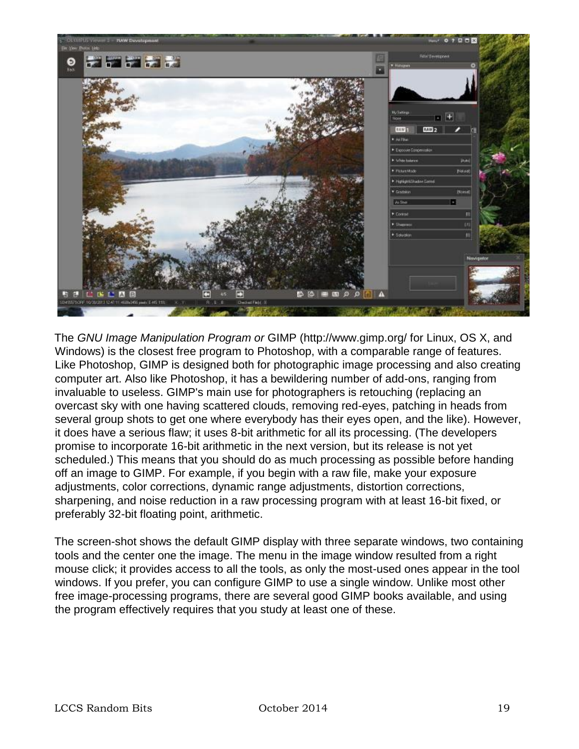

The *GNU Image Manipulation Program or* GIMP (http://www.gimp.org/ for Linux, OS X, and Windows) is the closest free program to Photoshop, with a comparable range of features. Like Photoshop, GIMP is designed both for photographic image processing and also creating computer art. Also like Photoshop, it has a bewildering number of add-ons, ranging from invaluable to useless. GIMP's main use for photographers is retouching (replacing an overcast sky with one having scattered clouds, removing red-eyes, patching in heads from several group shots to get one where everybody has their eyes open, and the like). However, it does have a serious flaw; it uses 8-bit arithmetic for all its processing. (The developers promise to incorporate 16-bit arithmetic in the next version, but its release is not yet scheduled.) This means that you should do as much processing as possible before handing off an image to GIMP. For example, if you begin with a raw file, make your exposure adjustments, color corrections, dynamic range adjustments, distortion corrections, sharpening, and noise reduction in a raw processing program with at least 16-bit fixed, or preferably 32-bit floating point, arithmetic.

The screen-shot shows the default GIMP display with three separate windows, two containing tools and the center one the image. The menu in the image window resulted from a right mouse click; it provides access to all the tools, as only the most-used ones appear in the tool windows. If you prefer, you can configure GIMP to use a single window. Unlike most other free image-processing programs, there are several good GIMP books available, and using the program effectively requires that you study at least one of these.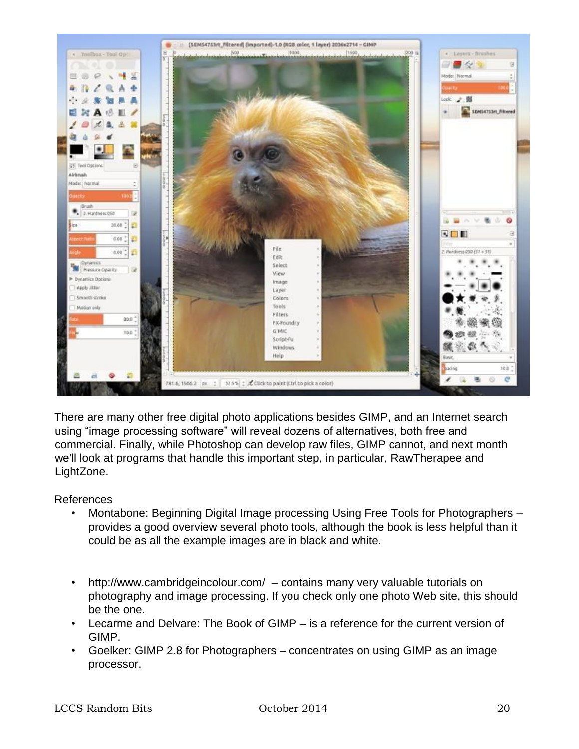

There are many other free digital photo applications besides GIMP, and an Internet search using "image processing software" will reveal dozens of alternatives, both free and commercial. Finally, while Photoshop can develop raw files, GIMP cannot, and next month we'll look at programs that handle this important step, in particular, RawTherapee and LightZone.

#### References

- Montabone: Beginning Digital Image processing Using Free Tools for Photographers provides a good overview several photo tools, although the book is less helpful than it could be as all the example images are in black and white.
- http://www.cambridgeincolour.com/ contains many very valuable tutorials on photography and image processing. If you check only one photo Web site, this should be the one.
- Lecarme and Delvare: The Book of GIMP is a reference for the current version of GIMP.
- Goelker: GIMP 2.8 for Photographers concentrates on using GIMP as an image processor.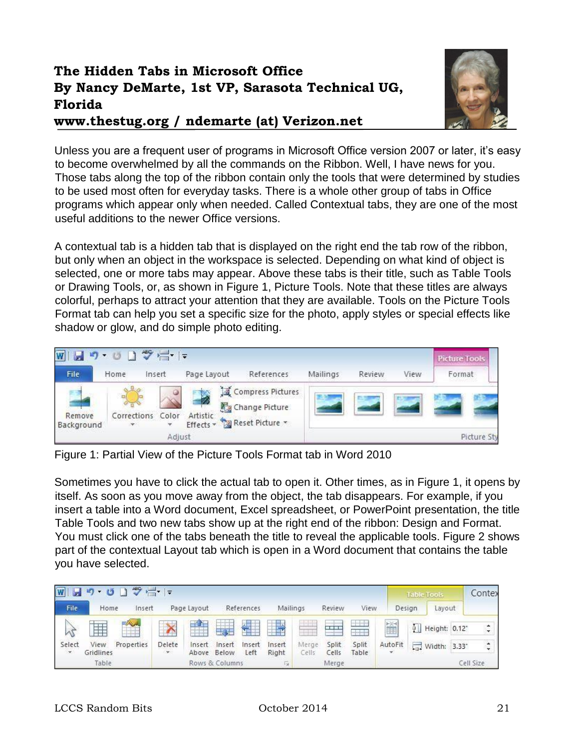# **The Hidden Tabs in Microsoft Office By Nancy DeMarte, 1st VP, Sarasota Technical UG, Florida**

**www.thestug.org / ndemarte (at) Verizon.net**



Unless you are a frequent user of programs in Microsoft Office version 2007 or later, it's easy to become overwhelmed by all the commands on the Ribbon. Well, I have news for you. Those tabs along the top of the ribbon contain only the tools that were determined by studies to be used most often for everyday tasks. There is a whole other group of tabs in Office programs which appear only when needed. Called Contextual tabs, they are one of the most useful additions to the newer Office versions.

A contextual tab is a hidden tab that is displayed on the right end the tab row of the ribbon, but only when an object in the workspace is selected. Depending on what kind of object is selected, one or more tabs may appear. Above these tabs is their title, such as Table Tools or Drawing Tools, or, as shown in Figure 1, Picture Tools. Note that these titles are always colorful, perhaps to attract your attention that they are available. Tools on the Picture Tools Format tab can help you set a specific size for the photo, apply styles or special effects like shadow or glow, and do simple photo editing.



Figure 1: Partial View of the Picture Tools Format tab in Word 2010

Sometimes you have to click the actual tab to open it. Other times, as in Figure 1, it opens by itself. As soon as you move away from the object, the tab disappears. For example, if you insert a table into a Word document, Excel spreadsheet, or PowerPoint presentation, the title Table Tools and two new tabs show up at the right end of the ribbon: Design and Format. You must click one of the tabs beneath the title to reveal the applicable tools. Figure 2 shows part of the contextual Layout tab which is open in a Word document that contains the table you have selected.

| りのコッピー<br>$\overline{\mathbf{w}}$  |                   |            |                       |                 |                 |                |                 |                          |                |                | <b>Table Tools</b> |        |                           | Contex |                    |
|------------------------------------|-------------------|------------|-----------------------|-----------------|-----------------|----------------|-----------------|--------------------------|----------------|----------------|--------------------|--------|---------------------------|--------|--------------------|
| File                               | Home              | Insert     |                       | Page Layout     |                 | References     | Mailings        |                          | Review         | View           |                    | Design | Layout                    |        |                    |
|                                    | H                 | $=$        | $\sim$                | $+1$            | 一打开             | ÷              |                 | $\overline{\phantom{a}}$ | $\frac{1}{2}$  |                | Ě                  |        | [1] Height: 0.12"         |        | ÷                  |
| Select<br>$\overline{\mathcal{R}}$ | View<br>Gridlines | Properties | Delete<br><b>With</b> | Insert<br>Above | Insert<br>Below | Insert<br>Left | Insert<br>Right | Merge<br>Cells           | Split<br>Cells | Split<br>Table | AutoFit            |        | $\frac{1}{2}$ Width: 3.33 |        | $\ddot{\ddot{\ }}$ |
|                                    | Table             |            |                       |                 | Rows & Columns  |                | 60.             |                          | Merge          |                |                    |        |                           |        | Cell Size          |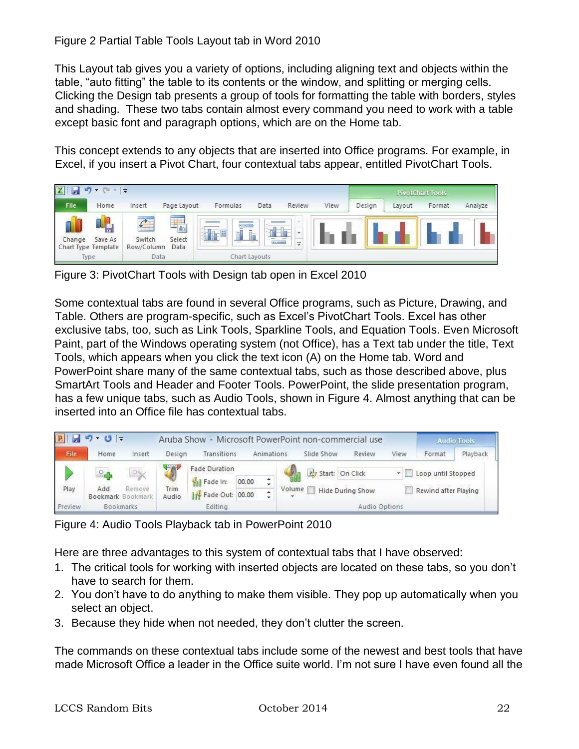This Layout tab gives you a variety of options, including aligning text and objects within the table, "auto fitting" the table to its contents or the window, and splitting or merging cells. Clicking the Design tab presents a group of tools for formatting the table with borders, styles and shading. These two tabs contain almost every command you need to work with a table except basic font and paragraph options, which are on the Home tab.

This concept extends to any objects that are inserted into Office programs. For example, in Excel, if you insert a Pivot Chart, four contextual tabs appear, entitled PivotChart Tools.



Figure 3: PivotChart Tools with Design tab open in Excel 2010

Some contextual tabs are found in several Office programs, such as Picture, Drawing, and Table. Others are program-specific, such as Excel's PivotChart Tools. Excel has other exclusive tabs, too, such as Link Tools, Sparkline Tools, and Equation Tools. Even Microsoft Paint, part of the Windows operating system (not Office), has a Text tab under the title, Text Tools, which appears when you click the text icon (A) on the Home tab. Word and PowerPoint share many of the same contextual tabs, such as those described above, plus SmartArt Tools and Header and Footer Tools. PowerPoint, the slide presentation program, has a few unique tabs, such as Audio Tools, shown in Figure 4. Almost anything that can be inserted into an Office file has contextual tabs.



Figure 4: Audio Tools Playback tab in PowerPoint 2010

Here are three advantages to this system of contextual tabs that I have observed:

- 1. The critical tools for working with inserted objects are located on these tabs, so you don't have to search for them.
- 2. You don't have to do anything to make them visible. They pop up automatically when you select an object.
- 3. Because they hide when not needed, they don't clutter the screen.

The commands on these contextual tabs include some of the newest and best tools that have made Microsoft Office a leader in the Office suite world. I'm not sure I have even found all the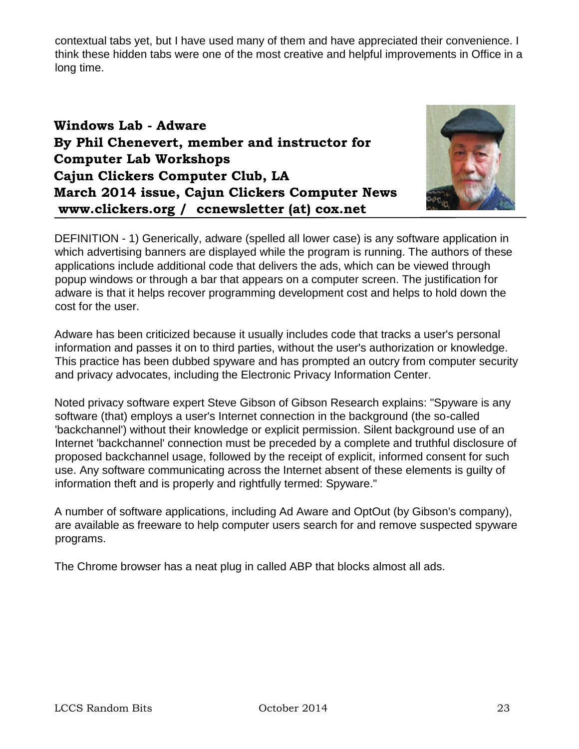contextual tabs yet, but I have used many of them and have appreciated their convenience. I think these hidden tabs were one of the most creative and helpful improvements in Office in a long time.

# **Windows Lab - Adware By Phil Chenevert, member and instructor for Computer Lab Workshops Cajun Clickers Computer Club, LA March 2014 issue, Cajun Clickers Computer News www.clickers.org / ccnewsletter (at) cox.net**



DEFINITION - 1) Generically, adware (spelled all lower case) is any software application in which advertising banners are displayed while the program is running. The authors of these applications include additional code that delivers the ads, which can be viewed through popup windows or through a bar that appears on a computer screen. The justification for adware is that it helps recover programming development cost and helps to hold down the cost for the user.

Adware has been criticized because it usually includes code that tracks a user's personal information and passes it on to third parties, without the user's authorization or knowledge. This practice has been dubbed spyware and has prompted an outcry from computer security and privacy advocates, including the Electronic Privacy Information Center.

Noted privacy software expert Steve Gibson of Gibson Research explains: "Spyware is any software (that) employs a user's Internet connection in the background (the so-called 'backchannel') without their knowledge or explicit permission. Silent background use of an Internet 'backchannel' connection must be preceded by a complete and truthful disclosure of proposed backchannel usage, followed by the receipt of explicit, informed consent for such use. Any software communicating across the Internet absent of these elements is guilty of information theft and is properly and rightfully termed: Spyware."

A number of software applications, including Ad Aware and OptOut (by Gibson's company), are available as freeware to help computer users search for and remove suspected spyware programs.

The Chrome browser has a neat plug in called ABP that blocks almost all ads.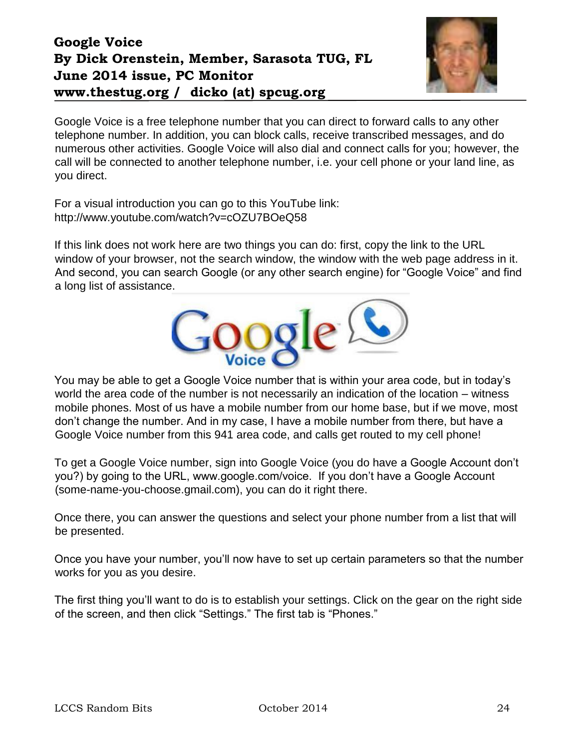# **Google Voice By Dick Orenstein, Member, Sarasota TUG, FL June 2014 issue, PC Monitor www.thestug.org / dicko (at) spcug.org**



Google Voice is a free telephone number that you can direct to forward calls to any other telephone number. In addition, you can block calls, receive transcribed messages, and do numerous other activities. Google Voice will also dial and connect calls for you; however, the call will be connected to another telephone number, i.e. your cell phone or your land line, as you direct.

For a visual introduction you can go to this YouTube link: http://www.youtube.com/watch?v=cOZU7BOeQ58

If this link does not work here are two things you can do: first, copy the link to the URL window of your browser, not the search window, the window with the web page address in it. And second, you can search Google (or any other search engine) for "Google Voice" and find a long list of assistance.



You may be able to get a Google Voice number that is within your area code, but in today's world the area code of the number is not necessarily an indication of the location – witness mobile phones. Most of us have a mobile number from our home base, but if we move, most don't change the number. And in my case, I have a mobile number from there, but have a Google Voice number from this 941 area code, and calls get routed to my cell phone!

To get a Google Voice number, sign into Google Voice (you do have a Google Account don't you?) by going to the URL, www.google.com/voice. If you don't have a Google Account (some-name-you-choose.gmail.com), you can do it right there.

Once there, you can answer the questions and select your phone number from a list that will be presented.

Once you have your number, you'll now have to set up certain parameters so that the number works for you as you desire.

The first thing you'll want to do is to establish your settings. Click on the gear on the right side of the screen, and then click "Settings." The first tab is "Phones."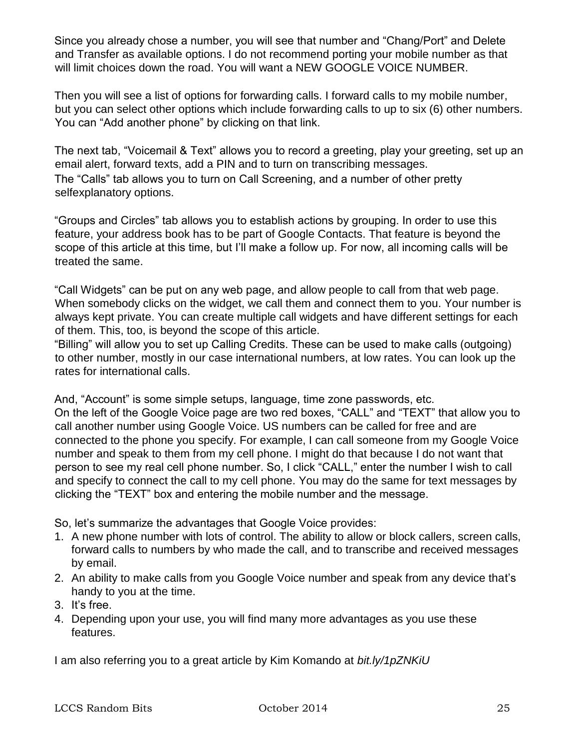Since you already chose a number, you will see that number and "Chang/Port" and Delete and Transfer as available options. I do not recommend porting your mobile number as that will limit choices down the road. You will want a NEW GOOGLE VOICE NUMBER.

Then you will see a list of options for forwarding calls. I forward calls to my mobile number, but you can select other options which include forwarding calls to up to six (6) other numbers. You can "Add another phone" by clicking on that link.

The next tab, "Voicemail & Text" allows you to record a greeting, play your greeting, set up an email alert, forward texts, add a PIN and to turn on transcribing messages. The "Calls" tab allows you to turn on Call Screening, and a number of other pretty selfexplanatory options.

"Groups and Circles" tab allows you to establish actions by grouping. In order to use this feature, your address book has to be part of Google Contacts. That feature is beyond the scope of this article at this time, but I'll make a follow up. For now, all incoming calls will be treated the same.

"Call Widgets" can be put on any web page, and allow people to call from that web page. When somebody clicks on the widget, we call them and connect them to you. Your number is always kept private. You can create multiple call widgets and have different settings for each of them. This, too, is beyond the scope of this article.

"Billing" will allow you to set up Calling Credits. These can be used to make calls (outgoing) to other number, mostly in our case international numbers, at low rates. You can look up the rates for international calls.

And, "Account" is some simple setups, language, time zone passwords, etc. On the left of the Google Voice page are two red boxes, "CALL" and "TEXT" that allow you to call another number using Google Voice. US numbers can be called for free and are connected to the phone you specify. For example, I can call someone from my Google Voice number and speak to them from my cell phone. I might do that because I do not want that person to see my real cell phone number. So, I click "CALL," enter the number I wish to call and specify to connect the call to my cell phone. You may do the same for text messages by clicking the "TEXT" box and entering the mobile number and the message.

So, let's summarize the advantages that Google Voice provides:

- 1. A new phone number with lots of control. The ability to allow or block callers, screen calls, forward calls to numbers by who made the call, and to transcribe and received messages by email.
- 2. An ability to make calls from you Google Voice number and speak from any device that's handy to you at the time.
- 3. It's free.
- 4. Depending upon your use, you will find many more advantages as you use these features.

I am also referring you to a great article by Kim Komando at *bit.ly/1pZNKiU*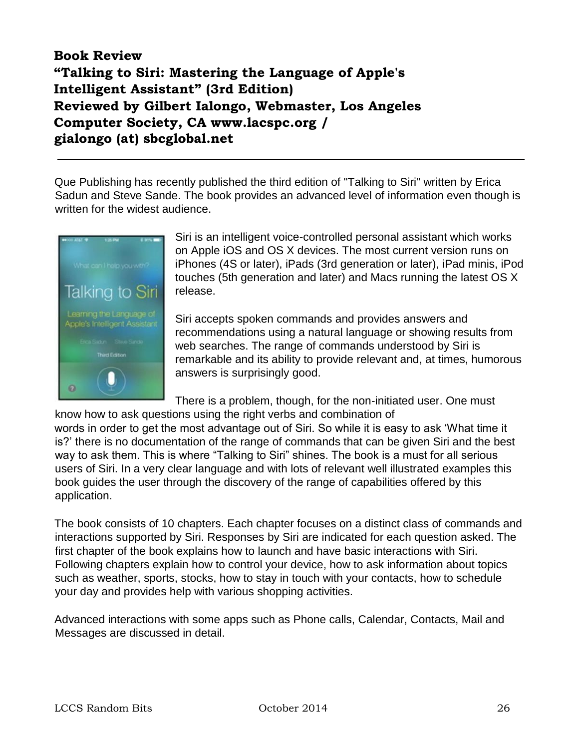# **Book Review "Talking to Siri: Mastering the Language of Apple's Intelligent Assistant" (3rd Edition) Reviewed by Gilbert Ialongo, Webmaster, Los Angeles Computer Society, CA www.lacspc.org / gialongo (at) sbcglobal.net**

Que Publishing has recently published the third edition of "Talking to Siri" written by Erica Sadun and Steve Sande. The book provides an advanced level of information even though is written for the widest audience.



Siri is an intelligent voice-controlled personal assistant which works on Apple iOS and OS X devices. The most current version runs on iPhones (4S or later), iPads (3rd generation or later), iPad minis, iPod touches (5th generation and later) and Macs running the latest OS X release.

Siri accepts spoken commands and provides answers and recommendations using a natural language or showing results from web searches. The range of commands understood by Siri is remarkable and its ability to provide relevant and, at times, humorous answers is surprisingly good.

There is a problem, though, for the non-initiated user. One must know how to ask questions using the right verbs and combination of

words in order to get the most advantage out of Siri. So while it is easy to ask 'What time it is?' there is no documentation of the range of commands that can be given Siri and the best way to ask them. This is where "Talking to Siri" shines. The book is a must for all serious users of Siri. In a very clear language and with lots of relevant well illustrated examples this book guides the user through the discovery of the range of capabilities offered by this application.

The book consists of 10 chapters. Each chapter focuses on a distinct class of commands and interactions supported by Siri. Responses by Siri are indicated for each question asked. The first chapter of the book explains how to launch and have basic interactions with Siri. Following chapters explain how to control your device, how to ask information about topics such as weather, sports, stocks, how to stay in touch with your contacts, how to schedule your day and provides help with various shopping activities.

Advanced interactions with some apps such as Phone calls, Calendar, Contacts, Mail and Messages are discussed in detail.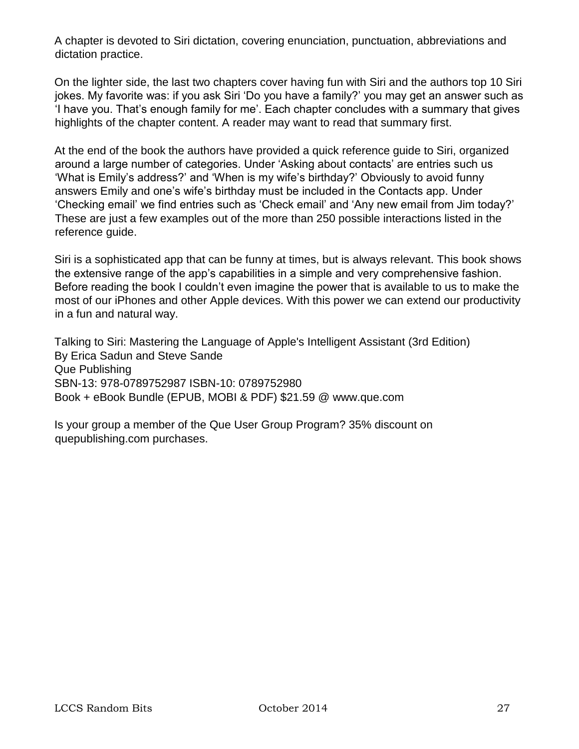A chapter is devoted to Siri dictation, covering enunciation, punctuation, abbreviations and dictation practice.

On the lighter side, the last two chapters cover having fun with Siri and the authors top 10 Siri jokes. My favorite was: if you ask Siri 'Do you have a family?' you may get an answer such as 'I have you. That's enough family for me'. Each chapter concludes with a summary that gives highlights of the chapter content. A reader may want to read that summary first.

At the end of the book the authors have provided a quick reference guide to Siri, organized around a large number of categories. Under 'Asking about contacts' are entries such us 'What is Emily's address?' and 'When is my wife's birthday?' Obviously to avoid funny answers Emily and one's wife's birthday must be included in the Contacts app. Under 'Checking email' we find entries such as 'Check email' and 'Any new email from Jim today?' These are just a few examples out of the more than 250 possible interactions listed in the reference guide.

Siri is a sophisticated app that can be funny at times, but is always relevant. This book shows the extensive range of the app's capabilities in a simple and very comprehensive fashion. Before reading the book I couldn't even imagine the power that is available to us to make the most of our iPhones and other Apple devices. With this power we can extend our productivity in a fun and natural way.

Talking to Siri: Mastering the Language of Apple's Intelligent Assistant (3rd Edition) By Erica Sadun and Steve Sande Que Publishing SBN-13: 978-0789752987 ISBN-10: 0789752980 Book + eBook Bundle (EPUB, MOBI & PDF) \$21.59 @ www.que.com

Is your group a member of the Que User Group Program? 35% discount on quepublishing.com purchases.